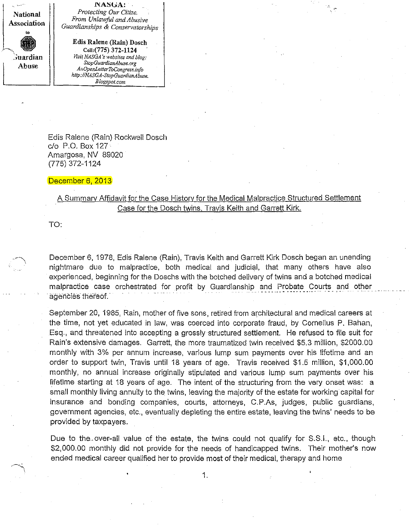

**l'iA1SlJA:** *Protecting Our CUize. From Unlawfitl andAbusive Guardianships* **&** *Conservatorships*

**Edis Ralene (Rain) Dosch Cell:(775) 372-1124** *Visit NASGA's* websites and *blog*: *StopGuardianAbuse.org AnOpenLetterToCongress.bf{o http://NASGA-StopGuardianAbuse. Blogspot.com*

Edis Ralene (Rain) Rockwell Dosch c/o P.O. Box 127 Amargosa, NV 89020 (775) 372-1124

## December 6, 2013

## A Summary Affidavit for the Case History for the Medical Malpractice Structured Settlement Case for the Dosch twins, Travis Keith and Garrett Kirk,

TO:

December 6, 1978, Edis Ralene (Rain), Travis Keith and Garrett Kirk Dosch began an unending nightmare due to malpractice, both medical and jUdicial, that many others have also experienced, beginning for the Doschs with the botched delivery of twins and a botched medical malpractice case orchestrated for profit by Guardianship and Probate Courts and other agencies thereof.

September 20, 1985, Rain, mother of five sons, retired from architectural and medical careers at the time, not yet educated in law, was coerced into corporate fraud, by Cornelius P, Bahan, Esq., and threatened into accepting a grossly structured settlement. He refused to file suit for Rain's extensive damages. Garrett, the more traumatized twin received \$5.3 million, \$2000.00 monthly with 3% per annum increase, various lump sum payments over his lifetime and an order to support twin, Travis until 18 years of age, Travis received \$1,5 million, \$1,000.00 monthly, no annual increase originally stipulated and various lump sum payments over his lifetime starting at 18 years of age. The intent of the structuring from the very onset was: a small monthly living annuity to the twins, leaving the majority of the estate for working capital for insurance and bonding companies, courts, attorneys, C.P.As, judges, public guardians, government agencies, etc., eventually depleting the entire estate, leaving the twins' needs to be provided by taxpayers,

Due to the. over-all value of the estate, the twins could not qualify for S.S.I., etc., though \$2,000.00 monthly did not provide for the needs of handicapped twins, Their mother's now ended medical career qualified her to provide most of their medical, therapy and home

1,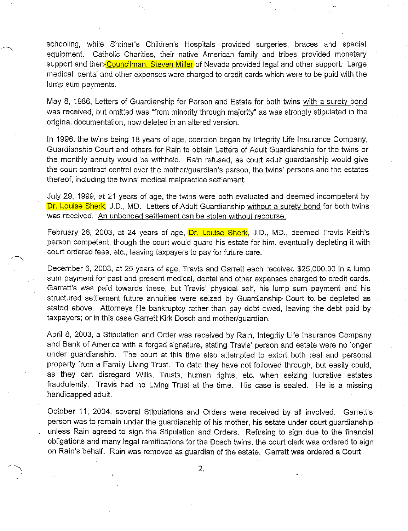schooling, while Shriner's Children's Hospitals provided surgeries, braces and special equipment. Catholic Charities, their native American family and tribes provided monetary support and then-Councilman, Steven Miller of Nevada provided legal and other support. Large medical, dental and other expenses were charged to credit cards which were to be paid with the lump sum payments.

May 8, 1986, Letters of Guardianship for Person and Estate for both twins with a surety bond was received, but omitted was "from minority through majority" as was strongly stipulated in the original documentation, now deleted in an altered version.

In 1996, the twins being 18 years of age, coercion began by Integrity Life Insurance Company, Guardianship Court and others for Rain to obtain Letters of Adult Guardianship for the twins or the monthly annuity would be withheld. Rain refused, as court adult guardianship would give the court contract control over the mother/guardian's person, the twins' persons and the estates thereof, including the twins' medical malpractice settlement.

July 29, 1999, at 21 years of age, the twins were both evaluated and deemed incompetent by Dr. Louise Sherk, J.D., MD. Letters of Adult Guardianship without a surety bond for both twins was received. An unbonded settlement can be stolen without recourse.

February 26, 2003, at 24 years of age, Dr. Louise Sherk, J.D., MD., deemed Travis Keith's person competent, though the court would guard his estate for him, eventually depleting it with court ordered fees, etc., leaving taxpayers to pay for future care.

December 6, 2003, at 25 years of age, Travis and Garrett each received \$25,000.00 in a lump sum payment for past and present medical, dental and other expenses charged to credit cards. Garrett's was paid towards these, but Travis' physical self, his lump sum payment and his structured settlement future annuities were seized by Guardianship Court to. be depleted as stated above. Attorneys file bankruptcy rather than pay debt owed, leaving the debt paid by taxpayers; or in this case Garrett Kirk Dosch and mother/guardian.

April 8, 2003, a Stipulation and Order was received by Rain, Integrity Life Insurance Company and Bank of America with a forged signature, stating Travis' person and estate were no longer under guardianship. The court at this time also attempted to extort both real and personal property from a Family Living Trust. To date they have not followed through, but easily could, as they can disregard Wills, Trusts, human rights, etc. when seizing lucrative estates fraudulently. Travis had no Living Trust at the time. His case is sealed. He is a missing handicapped adult.

October 11, 2004, several Stipulations and Orders were received by all involved. Garrett's person was to remain under the guardianship of his mother, his estate under court guardianship unless Rain agreed to sign the Stipulation and Orders. Refusing to sign due to the financial obligations and many legal ramifications for the Dosch twins, the court clerk was ordered to sign on Rain's behalf. Rain was removed as guardian of the estate. Garrett was ordered a Court

2.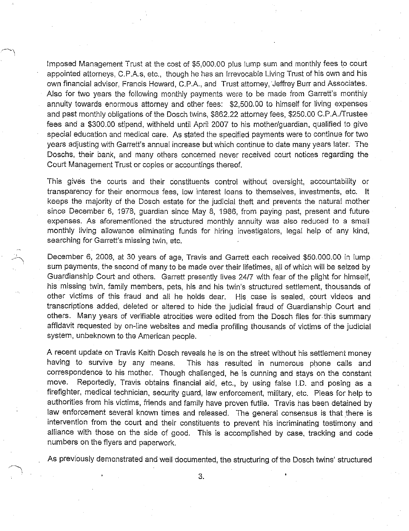Imposed Management Trust at the cost of \$5,000.00 plus lump sum and monthly fees to court appointed attorneys, C.PAs, etc., though he has an Irrevocable Living Trust of his own and his own financial advisor, Francis Howard, C.P.A., and Trust attorney, Jeffrey Burr and Associates. Also for two years the following monthiy payments were to be made from Garrett's monthly annuity towards enormous attorney and other fees: \$2,500.00 to himself for living expenses and past monthly obligations of the Dosch twins, \$862.22 attorney fees, \$250.00 C.P.A./Trustee fees and a \$300.00 stipend, withheld until April 2007 to his mother/guardian, qualified to give special education and medical care. As stated the specified payments were to continue for two years adjusting with Garrett's annual increase but which continue to date many years later. The Doschs, their bank, and many others concerned never received court notices regarding the Court Management Trust or copies or accountings thereof.

This gives the courts and their constituents control without oversight, accountability or transparency for their enormous fees, low interest loans to themselves, investments, etc. It keeps the majority of the Dosch estate for the judicial theft and prevents the natural mother since December 6, 1978, guardian since May 8, 1986, from paying past, present and future expenses. As aforementioned the structured monthly annuity was also reduced to a small monthly living allowance eliminating funds for hiring investigators, legal help of any kind, searching for Garrett's missing twin, etc.

December 6, 2008, at 30 years of age, Travis and Garrett each received \$50.000.00 in lump sum payments, the second of many to be made over their lifetimes, all of which will be seized by Guardianship Court and others. Garrett presently lives 24/7 with fear of the plight for himself, his missing twin, family members, pets, his and his twin's structured settlement, thousands of other victims of this fraud and all he holds dear. His case is sealed, court videos and transcriptions added, deleted or altered to hide the judicial fraud of Guardianship Court and others. Many years of verifiable atrocities were edited from the Dosch files for. this summary affidavit requested by on-line websites and media profiling thousands of victims of the judicial system, unbeknown to the American people.

A recent update on Travis Keith Dosch reveals he is on the street without his settlement money having to survive by any means. This has resulted in numerous phone calls and correspondence to his mother. Though challenged, he is cunning and stays on the constant move. Reportedly, Travis obtains financial aid, etc., by using false J.D. and posing as a firefighter, medical technician, security guard, law enforcement, military, etc. Pleas for help to authorities from his victims, friends and family have proven futile. Travis has been detained by law enforcement several known times and released. The general consensus is that there is intervention from the court and their constituents to prevent his incriminating testimony and alliance with those on the side of good. This is accomplished by case, tracking and code numbers on the flyers and paperwork.

As previously demonstrated and well documented, the structuring of the Dosch twins' structured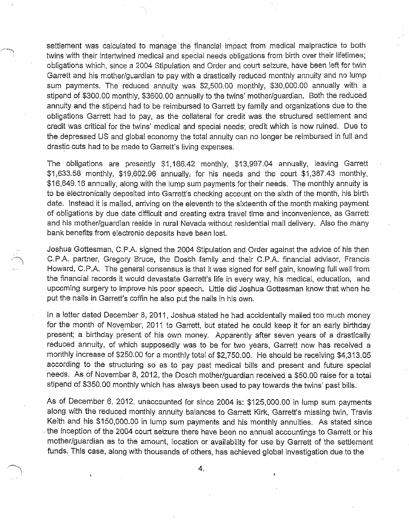settlement was calculated to manage the financial impact from medical malpractice to both twins with their intertwined medical and special needs obligations from birth over their lifetimes; obligations which, since a 2004 Stipulation and Order and court seizure, have been left for twin Garrett and his mother/guardian to pay with a drastically reduced monthly annuity and no lump sum payments. The reduced annuity was \$2,500.00 monthly, \$30,000.00 annually with a stipend of \$300.00 monthly, \$3600.00 annually to the twins' mother/guardian. Both the reduced annuity and the stipend had to be reimbursed to Garrett by family and organizations due to the obligations Garrett had to pay, as the collateral for credit was the structured settlement and credit was critical for the twins' medical and special needs; credit which is now ruined. Due to the depressed US and global economy the total annuity can no longer be reimbursed in full and drastic cuts had to be made to Garrett's living expenses.

The obligations are presently \$1,166.42 monthly, \$13,997.04 annually, leaving Garrett \$1,633.58 monthly, \$19,602.96 annually, for his needs and the court \$1,387.43 monthly, \$16,649.16 annually, along with the lump sum payments for their needs. The monthly annuity is to be electronically deposited into Garrett's checking account on the sixth of the month, his birth date. Instead it is mailed, arriving on the eleventh to the sixteenth of the month making payment of obligations by due date difficult and creating extra travel time and inconvenience, as Garrett and his mother/guardian reside in rural Nevada without residential mail delivery. Also the many bank benefits from electronic deposits have been lost.

Joshua Gottesman, C.P.A. signed the 2004 Stipulation and Order against the advice of his then C.P.A. partner, Gregory Bruce, the Dosch family and their C.P.A. financial advisor, Francis Howard, C.P.A. The general consensus is that it was signed for self gain, knowing full well from the financial records it would devastate Garrett's life in every way, his medical, education, and upcoming surgery to improve his poor speech. Little did Joshua Gottesman know that when he put the nails in Garrett's coffin he also put the nails in his own.

In a letter dated December 8, 2011, Joshua stated he had accidentally mailed too much money for the month of November, 2011 to Garrett, but stated he could keep it for an early birthday present; a birthday present of his own money. Apparently after seven years of a drastically reduced annuity, of which supposedly was to be for two years, Garrett now has received a monthly increase of \$250.00 for a monthly total of \$2,750.00. He should be receiving \$4,313.05 according to the structuring so as to pay past medical bills and present and future special needs. As of November 8, 2012, the Dosch mother/guardian received a \$50.00 raise for a total stipend of \$350.00 monthly which has always been used to pay towards the twins' past bills.

As of December 6, 2012, unaccounted for since 2004 is: \$125,000.00 in lump sum payments along with the reduced monthly annuity balances to Garrett Kirk, Garrett's missing twin, Travis Keith and his \$150,000.00 in lump sum payments and his monthly annuities. As stated since . the inception of the 2004 court seizure there have been no annual accountings to Garrett or his mother/guardian as to the amount, location or availability for use by Garrett of the settlement funds. This case, along with thousands of others, has achieved global investigation due to the

4.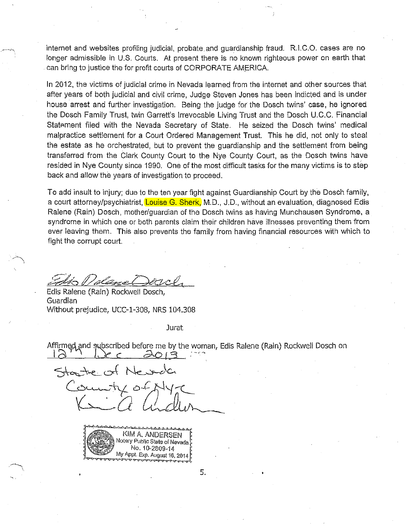internet and websites profiling judicial, probate and guardianship fraud. R.I.C.O. cases are no longer admissible in U.S. Courts. At present there is no known righteous power on earth that can bring to justice the for profit courts of CORPORATE AMERICA.

In 2012, the victims of judicial crime in Nevada learned from the internet and other sources that after years of both judicial and civil crime, Judge Steven Jones has been indicted and is under house arrest and further investigation. Being the judge for the Dosch twins' case, he ignored the Dosch Family Trust, twin Garrett's Irrevocable Living Trust and the Dosch U.C.C. Financial Statement filed with the Nevada Secretary of State. He seized the Dosch twins' medical malpractice settlement for a Court Ordered Management Trust. This he did, not only to steal the estate as he orchestrated, but to prevent the guardianship and the settlement from being transferred from the Clark County Court to the Nye County Court, as the Dosch twins have resided in Nye County since 1990. One of the most difficult tasks for the many victims is to step back and allow the years of investigation to proceed.

To add insult to injury; due to the ten year fight against Guardianship Court by the Dosch family, a court attorney/psychiatrist, Louise G. Sherk, M.D., J.D., without an evaluation, diagnosed Edis Ralene (Rain) Dosch, mother/guardian of the Dosch twins as having Munchausen Syndrome, a syndrome in which one or both parents claim their children have illnesses preventing them from ever leaving them. This also prevents the family from having financial resources with which to fight the corrupt court.

'al deve l

Edis Ralene (Rain) Rockwell Dosch, Guardian Without prejudice, UCC-1-308, NRS 104.308

**Jurat** 

Affirmed and subscribed before me by the woman, Edis Ralene (Rain) Rockwell Dosch on

Ne same ۰ث ′⁄



5.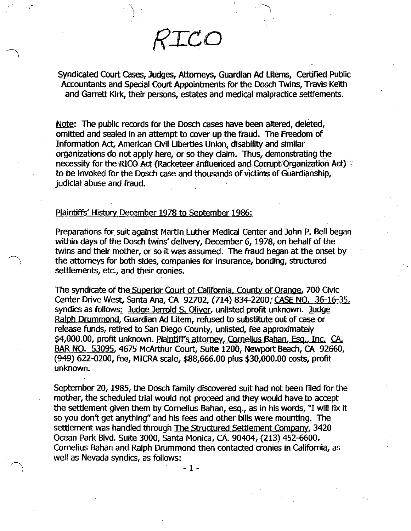Syndicated Court Cases, Judges, Attorneys, Guardian Ad Utems, certified Public Accountants and Special Court Appointments tor the Dosch Twins, Travis Keith and Garrett Kirk, their persons, estates and medical malpractice settlements.

*RICO*

Note: The public records for the Dosch cases have been altered, deleted, omitted and sealed in an attempt to cover up the fraud. The Freedom of Information Act, American Civil Liberties Union, disability and similar organizations do not apply here, or so they claim. Thus, demonstrating the necessity for the RICO Act (Racketeer Influenced and Corrupt Organization Act) to be invoked for the Dosch case and thousands of victims of Guardianship, judicial abuse and fraud.

## Plaintiffs' History December 1978 to september 1986:

,-

preparations for suit against Martin Luther Medical Center and John P. Bell began within days of the Dosch twins' delivery, December 6, 1978, on behalf of the twins and their mother, or so it was assumed. The fraud began at the onset by the attorneys for both sides, companies for insurance, bonding, structured settlements, etc., and their cronies.

The syndicate of the Superior Court of California. County of Orange, 700 Civic center Drive West, santa Ana, CA 92702, (714) 834-2200; CASE NO. 36-16-35, syndics as follows: Judge Jerrold S. Oliver, unlisted profit unknown. Judge Ralph Drummond, Guardian Ad Utem, refused to substitute out of case or release funds, retired to San Diego County, unlisted, fee approximately \$4,000.00, profit unknown. Plaintiff's attorney, Cornelius Bahan, Esg., Inc. CA. BAR NO. 53095, 4675 McArthur Court, Suite 1200, Newport Beach, CA 92660, (949) 622-0200, fee, MICRA scale, \$88,666.00 plus \$30,000.00 costs, profit unknown.

september 20,1985, the Dosch family discovered suit had not been filed for the mother, the scheduled trial would not proceed and they would have to accept the settlement given them by Cornelius Bahan, esq., as in his words, "I will fix it so you don't get anything" and his fees and other bills were mounting. The settlement was handled through The Structured Settlement Company, 3420 Ocean Park Blvd. Suite 3000, santa Monica, CA. 90404; (213) 452-6600. Cornelius Bahan and Ralph Drummond then contacted cronies in California, as well as Nevada syndics, as follows:

- 1 -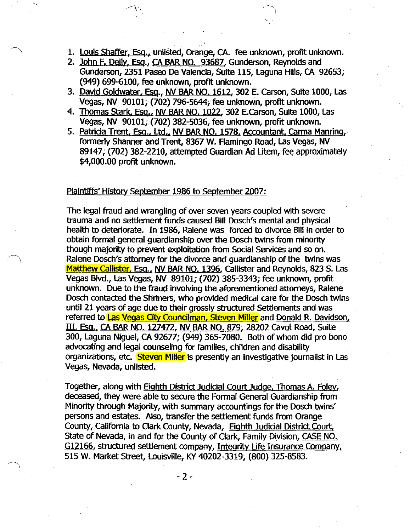- 1. Louis Shaffer, Esq., unlisted, Orange, CA. fee unknown, profit unknown.
- 2. John F. Deily, Esq., CA BAR NO. 93687, Gunderson, Reynolds and Gunderson, 2351 Paseo De Valencia, Suite 115, Laguna Hills, CA 92653; (949) 699-6100, fee unknown, profit unknown.
- 3. David Goldwater, Esq., NV BAR NO. 1612. 302 E. carson, Suite 1000, Las Vegas, NV 90101; (702) 796-5644; fee unknown, profit unknown.
- 4. Thomas Stark, Esq., NV BAR NO. 1022, 302 E.Carson, Suite 1000, Las Vegas, NV 90101; (702) 382-5036, fee unknown, profit unknown.
- 5. Patricia Trent, Esq., Ltd., NV BAR NO. 1578, Accountant, Carma Manring, formerly Shanner and Trent, 8367 W. Flamingo Road, Las Vegas, NV 89147; (702) 382-2210, attempted Guardian Ad Litem, fee approximately \$4,000.00 profit unknown.

## Plaintiffs' History september 1986 to september 2007:

The legal fraud and wrangling of over seven years coupled with severe trauma and no settlement funds caused Bill Dosch's mental and physical health to deteriorate. In 1986, Ralene was forced to divorce Bill in order to obtain formal general guardianship over the Dosch twins from minority though majority to prevent exploitation from Social Services and so on. Ralene Dosch's attorney for the divorce and guardianship of the twins was Matthew Callister, Esq., NV BAR NO. 1396, Callister and Reynolds, 823 S. Las Vegas Blvd., Las Vegas, NV 89101; (702) 385-3343; fee unknown, profit unknown. Due to the fraud involving the aforementioned attorneys, Ralene Dosch contacted the Shriners, who provided medical care for the Dosch twins until 21 years of age due to their grossly structured settlements and was referred to **Las Vegas City Councilman, Steven Miller** and Donald R. Davidson, III. Esq., CA BAR NO. 127472, NV BAR NO. 879; 28202 cavot Road, Suite 300, Laguna Niguel, CA 92677; (949) 365-7080. Both of whom did pro bono advocating and legal counseling for families, children and disability organizations, etc. Steven Miller is presently an investigative journalist in Las Vegas, Nevada, unlisted.

Together, along with **Eighth District Judicial Court Judge**, Thomas A. Foley, deceased, they were able to secure the Formal General Guardianship from Minority through Majority, with summary accountings for the Dosch twins' persons and estates. Also, transfer the settlement funds from Orange County, california to Clark County, Nevada, Eighth Judicial District Court, State of Nevada, in and for the County of Clark, Family Division, CASE NO. G12166. structured settlement company, Integrity Life Insurance Company. 515 W. Market Street, Louisville, KY 40202-3319; (800) 325-8583.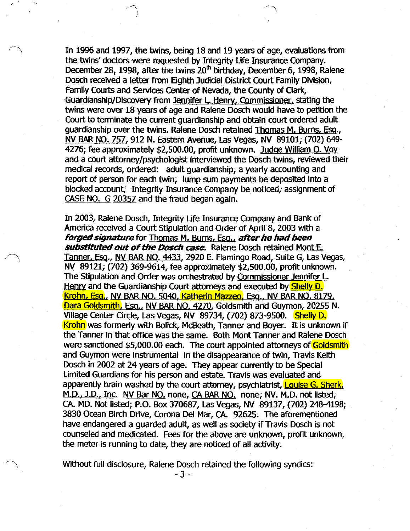In 1996 and 1997, the twins, being 18 and 19 years of age, evaluations from the twins' doctors were requested by Integrity Ufe Insurance Company. December 28, 1998, after the twins  $20<sup>th</sup>$  birthday, December 6, 1998, Ralene Dosch received a letter from Eighth Judicial District Court Family Division, Family Courts and services Center of Nevada, the County of Clark, Guardianship/Discovery from Jennifer L. Henry. Commissioner. stating the twins were over 18 years of age and Ralene Dosch would have to petition the Court to terminate the current guardianship and obtain court ordered adult guardianship over the twins. Ralene Dosch retained Thomas M. Burns. Esq., NV BAR NO. 757,912 N. Eastern Avenue, las Vegas, NV 89101; (702) 649- 4276; fee approximately \$2,500.00, profit unknown. Judge William O. Voy and a court attorney/psychologist interviewed the Dosch twins, reviewed their medical records, ordered: adult guardianship; a yearly accounting and report of person for each twin; lump sum payments be deposited into a blocked account; Integrity Insurance Company be noticed; assignment of CASE NO. G 20357 and the fraud began again.

In 2003, Ralene Dosch, Integrity Ufe Insurance Company and Bank of America received a Court Stipulation and Order of April 8, 2003 with a **forged signature** for Thomas M. Burns, Esq., after he had been **substituted out of the Dosch case.** Ralene Dosch retained Mont E. Tanner, Esq., NV BAR NO. 4433, 2920 E. Flamingo Road, Suite G, las Vegas, NV 89121; (702) 369-9614, fee approximately \$2,500.00, profit unknown. The Stipulation and Order was orchestrated by Commissioner Jennifer L. Henry and the Guardianship Court attorneys and executed by **Shelly D.** Krohn. Esa.. NV BAR NO. 5040, Katherin Mazzeo, Esa.. NV BAR NO. 8179, Dara Goldsmith, Esq., NV BAR NO. 4270, Goldsmith and Guymon, 20255 N. Village Center Circle, Las Vegas, NV 89734, (702) 873-9500. Shelly D. Krohn was formerly with Bolick, McBeath, Tanner and Boyer. It is unknown if the Tanner in that office was the same. Both Mont Tanner and Ralene Dosch were sanctioned \$5,000.00 each. The court appointed attorneys of Goldsmith and Guymon were instrumental in the disappearance of twin, Travis Keith Dosch in 2002 at 24 years of age. They appear currently to be Special Limited Guardians for his person and estate. Travis was evaluated and apparently brain washed by the court attorney, psychiatrist, **Louise G. Sherk**, M.D.. J.D.. Inc. NV Bar NO. none; CA BAR NO. none; NV. M.D. not listed; CA. MD. Not listed; P.O. Box 370687, las Vegas, NV 89137, (702) 248-4198; 3830 OCean Birch Drive, Corona Del Mar, CA. 92625. The aforementioned have endangered a guarded adult, as well as society if Travis Dosch is not counseled and medicated. Fees for the above are unknown, profit unknown, the meter is running to date, they are noticed of all activity.

Without full disclosure, Ralene Dosch retained the following syndics:

-3-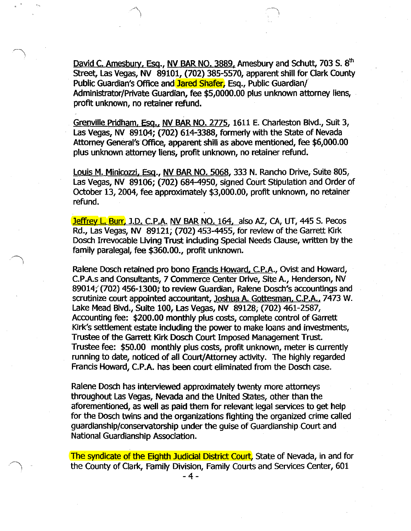David C. Amesbury, Esq., NV BAR NO. 3889, Amesbury and Schutt, 703 S. 8<sup>th</sup> Street, Las Vegas, NV 89101, (702) 385-5570, apparent shill for Clark County Public Guardian's Office and Jared Shafer, Esq., Public Guardian/ Administrator/Private Guardian, fee \$5,0000.00 plus unknown attorney liens, profit unknown, no retainer refund.

Grenville Pridham, Esq., NV BAR NO. 2775, 1611 E. Charleston Blvd., Suit 3, Las Vegas, NV 89104; (702) 614-3388, formerly with the State of Nevada Attorney General's Office, apparent shill as above mentioned, fee \$6,000.00 plus unknown attorney liens, profit unknown, no retainer refund.

Louis M. Minicozzi, Esq., NV BAR NO. 5068, 333 N. Rancho Drive, SUite 805, Las Vegas, NV 89106; (702) 684-4950, signed Court Stipulation and Order of October 13, 2004, fee approximately \$3,000.00, profit unknown, no retainer refund.

Jeffrey L. Burr. J.D. C.P.A. NV BAR NO. 164. also AZ, CA, UT, 445 S. Pecos Rd., Las Vegas, NV 89121; (702) 453-4455, for review of the Garrett Kirk Dosch Irrevocable Uving Trust including Special Needs Clause, written by the family paralegal, fee \$360.00., profit unknown.

Ralene Dosch retained pro bono Francis Howard, C.P.A., Ovist and Howard, C.P.A.s and Consultants, 7 Commerce center Drive, Site A., Henderson, NV 89014;'(702) 456-1300; to review Guardian, Ralene Dosch's accountings and scrutinize court appointed accountant, Joshua A. Gottesman, C.P.A., 7473 W. Lake Mead BlVd., Suite 100, Las Vegas, NV 89128; (702) 461-2587, Accounting fee: \$200.00 monthly plus costs, complete control of Garrett Kirk's settlement estate including the power to make loans and investments, Trustee of the Garrett Kirk Dosch Court Imposed Management Trust. Trustee fee: \$50.00 monthly plus costs, profit unknown, meter is currently running to date, noticed of all Court/Attorney activity. The highly regarded Francis Howard, C.P.A. has been court eliminated from the Dosch case.

Ralene Dosch has interviewed approximately twenty more attorneys throughout Las Vegas, Nevada and the United States, other than the aforementioned, as well as paid them for relevant legal services to get help for the Dosch twins and the organizations fighting the organized crime called guardianship/conservatorship under the guise of Guardianship Court and National Guardianship Association.

The syndicate of the Eighth Judicial District Court, State of Nevada, in and for the County of Clark, Family Division, Family Courts and services Center, 601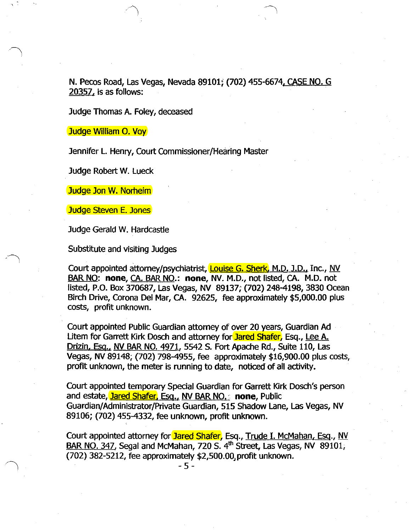N. Pecos Road, Las Vegas, Nevada 89101; (702) 455-6674. CASE NO. G 20357, is as follows: .

Judge Thomas A. Foley, deceased

Judge William O. Voy

Jennifer L. Henry, Court Commissioner/Hearing Master

Judge Robert W. Lueck

Judge Jon W. Norheim

Judge Steven E. Jones

Judge Gerald W. Hardcastle

Substitute and visiting Judges

Court appointed attorney/psychiatrist, **Louise G. Sherk, M.D. J.D., Inc., NV** BAR NO: **none,** CA. BAR NO.: **none,** NV. M.D., not listed, CA. M.D. not listed, P.O. Box 370687, Las Vegas, NV 89137; (702) 248-4198, 3830 Ocean Birch Drive, Corona Del Mar, CA. 92625, fee approximately \$5,000.00 plus costs, profit unknown.

Court appointed Public Guardian attorney of over 20 years, Guardian Ad Litem for Garrett Kirk Dosch and attorney for Jared Shafer, Esq., Lee A. Drizin. Esq.. NV BAR NO. 4971, 5542 S. Fort Apache Rd., Suite 110, Las Vegas, NV 89148; (702) 798-4955, fee approximately \$16,900.00 plus costs, profit unknown, the meter is running to date, noticed of all activity.

Court appointed temporary Special Guardian for Garrett Kirk Dosch's person and estate, **Jared Shafer, Esg., NV BAR NO.** none, Public Guardian/Administrator/Private Guardian, 515 Shadow Lane, Las Vegas, NV 89106; (702) 455-4332, fee unknown, profit unknown.

Court appointed attorney for Jared Shafer, Esq., Trude I. McMahan, Esq., NV BAR NO. 347, Segal and McMahan, 720 S.  $4<sup>th</sup>$  Street, Las Vegas, NV 89101, (702) 382-5212, fee approximately \$2,500.00,profit unknown.

 $-5 -$